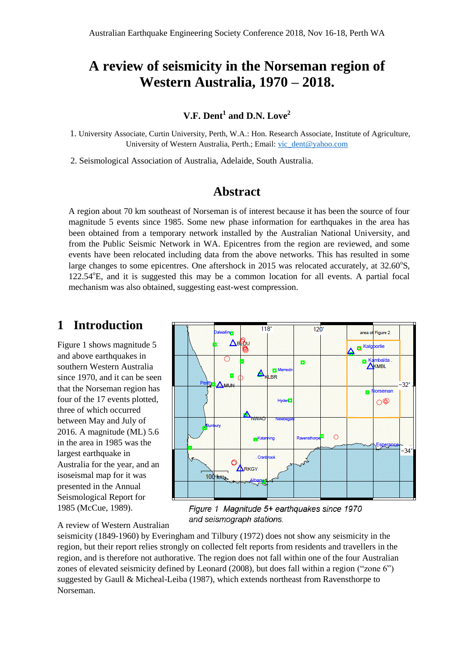# **A review of seismicity in the Norseman region of Western Australia, 1970 – 2018.**

## **V.F. Dent<sup>1</sup> and D.N. Love<sup>2</sup>**

 1. University Associate, Curtin University, Perth, W.A.: Hon. Research Associate, Institute of Agriculture, University of Western Australia, Perth.; Email: [vic\\_dent@yahoo.com](mailto:vic_dent@yahoo.com)

2. Seismological Association of Australia, Adelaide, South Australia.

## **Abstract**

A region about 70 km southeast of Norseman is of interest because it has been the source of four magnitude 5 events since 1985. Some new phase information for earthquakes in the area has been obtained from a temporary network installed by the Australian National University, and from the Public Seismic Network in WA. Epicentres from the region are reviewed, and some events have been relocated including data from the above networks. This has resulted in some large changes to some epicentres. One aftershock in 2015 was relocated accurately, at 32.60°S,  $122.54^{\circ}$ E, and it is suggested this may be a common location for all events. A partial focal mechanism was also obtained, suggesting east-west compression.

## **1 Introduction**

Figure 1 shows magnitude 5 and above earthquakes in southern Western Australia since 1970, and it can be seen that the Norseman region has four of the 17 events plotted, three of which occurred between May and July of 2016. A magnitude (ML) 5.6 in the area in 1985 was the largest earthquake in Australia for the year, and an isoseismal map for it was presented in the Annual Seismological Report for 1985 (McCue, 1989).



Figure 1 Magnitude 5+ earthquakes since 1970 and seismograph stations.

A review of Western Australian

seismicity (1849-1960) by Everingham and Tilbury (1972) does not show any seismicity in the region, but their report relies strongly on collected felt reports from residents and travellers in the region, and is therefore not authorative. The region does not fall within one of the four Australian zones of elevated seismicity defined by Leonard (2008), but does fall within a region ("zone 6") suggested by Gaull & Micheal-Leiba (1987), which extends northeast from Ravensthorpe to Norseman.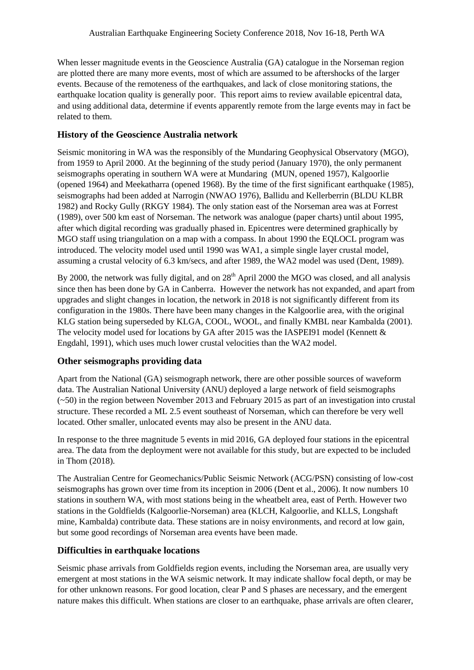When lesser magnitude events in the Geoscience Australia (GA) catalogue in the Norseman region are plotted there are many more events, most of which are assumed to be aftershocks of the larger events. Because of the remoteness of the earthquakes, and lack of close monitoring stations, the earthquake location quality is generally poor. This report aims to review available epicentral data, and using additional data, determine if events apparently remote from the large events may in fact be related to them.

### **History of the Geoscience Australia network**

Seismic monitoring in WA was the responsibly of the Mundaring Geophysical Observatory (MGO), from 1959 to April 2000. At the beginning of the study period (January 1970), the only permanent seismographs operating in southern WA were at Mundaring (MUN, opened 1957), Kalgoorlie (opened 1964) and Meekatharra (opened 1968). By the time of the first significant earthquake (1985), seismographs had been added at Narrogin (NWAO 1976), Ballidu and Kellerberrin (BLDU KLBR 1982) and Rocky Gully (RKGY 1984). The only station east of the Norseman area was at Forrest (1989), over 500 km east of Norseman. The network was analogue (paper charts) until about 1995, after which digital recording was gradually phased in. Epicentres were determined graphically by MGO staff using triangulation on a map with a compass. In about 1990 the EQLOCL program was introduced. The velocity model used until 1990 was WA1, a simple single layer crustal model, assuming a crustal velocity of 6.3 km/secs, and after 1989, the WA2 model was used (Dent, 1989).

By 2000, the network was fully digital, and on  $28<sup>th</sup>$  April 2000 the MGO was closed, and all analysis since then has been done by GA in Canberra. However the network has not expanded, and apart from upgrades and slight changes in location, the network in 2018 is not significantly different from its configuration in the 1980s. There have been many changes in the Kalgoorlie area, with the original KLG station being superseded by KLGA, COOL, WOOL, and finally KMBL near Kambalda (2001). The velocity model used for locations by GA after 2015 was the IASPEI91 model (Kennett & Engdahl, 1991), which uses much lower crustal velocities than the WA2 model.

### **Other seismographs providing data**

Apart from the National (GA) seismograph network, there are other possible sources of waveform data. The Australian National University (ANU) deployed a large network of field seismographs (~50) in the region between November 2013 and February 2015 as part of an investigation into crustal structure. These recorded a ML 2.5 event southeast of Norseman, which can therefore be very well located. Other smaller, unlocated events may also be present in the ANU data.

In response to the three magnitude 5 events in mid 2016, GA deployed four stations in the epicentral area. The data from the deployment were not available for this study, but are expected to be included in Thom (2018).

The Australian Centre for Geomechanics/Public Seismic Network (ACG/PSN) consisting of low-cost seismographs has grown over time from its inception in 2006 (Dent et al., 2006). It now numbers 10 stations in southern WA, with most stations being in the wheatbelt area, east of Perth. However two stations in the Goldfields (Kalgoorlie-Norseman) area (KLCH, Kalgoorlie, and KLLS, Longshaft mine, Kambalda) contribute data. These stations are in noisy environments, and record at low gain, but some good recordings of Norseman area events have been made.

### **Difficulties in earthquake locations**

Seismic phase arrivals from Goldfields region events, including the Norseman area, are usually very emergent at most stations in the WA seismic network. It may indicate shallow focal depth, or may be for other unknown reasons. For good location, clear P and S phases are necessary, and the emergent nature makes this difficult. When stations are closer to an earthquake, phase arrivals are often clearer,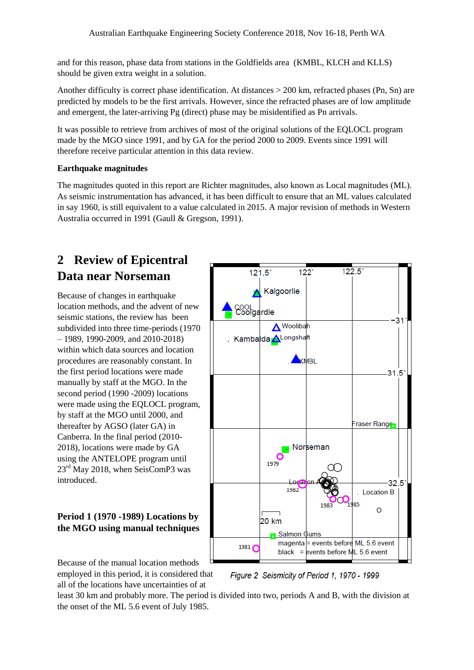and for this reason, phase data from stations in the Goldfields area (KMBL, KLCH and KLLS) should be given extra weight in a solution.

Another difficulty is correct phase identification. At distances > 200 km, refracted phases (Pn, Sn) are predicted by models to be the first arrivals. However, since the refracted phases are of low amplitude and emergent, the later-arriving Pg (direct) phase may be misidentified as Pn arrivals.

It was possible to retrieve from archives of most of the original solutions of the EQLOCL program made by the MGO since 1991, and by GA for the period 2000 to 2009. Events since 1991 will therefore receive particular attention in this data review.

### **Earthquake magnitudes**

The magnitudes quoted in this report are Richter magnitudes, also known as Local magnitudes (ML). As seismic instrumentation has advanced, it has been difficult to ensure that an ML values calculated in say 1960, is still equivalent to a value calculated in 2015. A major revision of methods in Western Australia occurred in 1991 (Gaull & Gregson, 1991).

# **2 Review of Epicentral Data near Norseman**

Because of changes in earthquake location methods, and the advent of new seismic stations, the review has been subdivided into three time-periods (1970 – 1989, 1990-2009, and 2010-2018) within which data sources and location procedures are reasonably constant. In the first period locations were made manually by staff at the MGO. In the second period (1990 -2009) locations were made using the EQLOCL program, by staff at the MGO until 2000, and thereafter by AGSO (later GA) in Canberra. In the final period (2010- 2018), locations were made by GA using the ANTELOPE program until 23<sup>rd</sup> May 2018, when SeisComP3 was introduced.

## **Period 1 (1970 -1989) Locations by the MGO using manual techniques**





least 30 km and probably more. The period is divided into two, periods A and B, with the division at the onset of the ML 5.6 event of July 1985.

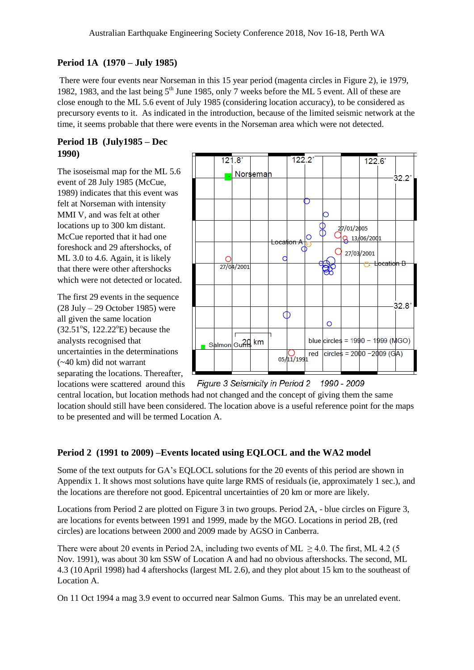### **Period 1A (1970 – July 1985)**

There were four events near Norseman in this 15 year period (magenta circles in Figure 2), ie 1979, 1982, 1983, and the last being  $5<sup>th</sup>$  June 1985, only 7 weeks before the ML 5 event. All of these are close enough to the ML 5.6 event of July 1985 (considering location accuracy), to be considered as precursory events to it. As indicated in the introduction, because of the limited seismic network at the time, it seems probable that there were events in the Norseman area which were not detected.

#### **Period 1B (July1985 – Dec 1990)**

The isoseismal map for the ML 5.6 event of 28 July 1985 (McCue, 1989) indicates that this event was felt at Norseman with intensity MMI V, and was felt at other locations up to 300 km distant. McCue reported that it had one foreshock and 29 aftershocks, of ML 3.0 to 4.6. Again, it is likely that there were other aftershocks which were not detected or located.

The first 29 events in the sequence (28 July – 29 October 1985) were all given the same location  $(32.51°S, 122.22°E)$  because the analysts recognised that uncertainties in the determinations (~40 km) did not warrant



separating the locations. Thereafter, locations were scattered around this

Figure 3 Seismicity in Period 2 1990 - 2009

central location, but location methods had not changed and the concept of giving them the same location should still have been considered. The location above is a useful reference point for the maps to be presented and will be termed Location A.

#### **Period 2 (1991 to 2009) –Events located using EQLOCL and the WA2 model**

Some of the text outputs for GA's EQLOCL solutions for the 20 events of this period are shown in Appendix 1. It shows most solutions have quite large RMS of residuals (ie, approximately 1 sec.), and the locations are therefore not good. Epicentral uncertainties of 20 km or more are likely.

Locations from Period 2 are plotted on Figure 3 in two groups. Period 2A, - blue circles on Figure 3, are locations for events between 1991 and 1999, made by the MGO. Locations in period 2B, (red circles) are locations between 2000 and 2009 made by AGSO in Canberra.

There were about 20 events in Period 2A, including two events of ML  $\geq$  4.0. The first, ML 4.2 (5) Nov. 1991), was about 30 km SSW of Location A and had no obvious aftershocks. The second, ML 4.3 (10 April 1998) had 4 aftershocks (largest ML 2.6), and they plot about 15 km to the southeast of Location A.

On 11 Oct 1994 a mag 3.9 event to occurred near Salmon Gums. This may be an unrelated event.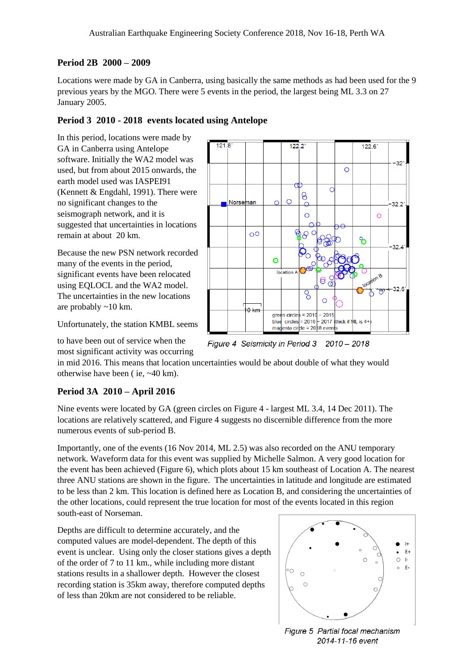#### **Period 2B 2000 – 2009**

Locations were made by GA in Canberra, using basically the same methods as had been used for the 9 previous years by the MGO. There were 5 events in the period, the largest being ML 3.3 on 27 January 2005.

#### **Period 3 2010 - 2018 events located using Antelope**

In this period, locations were made by GA in Canberra using Antelope software. Initially the WA2 model was used, but from about 2015 onwards, the earth model used was IASPEI91 (Kennett & Engdahl, 1991). There were no significant changes to the seismograph network, and it is suggested that uncertainties in locations remain at about 20 km.

Because the new PSN network recorded many of the events in the period, significant events have been relocated using EQLOCL and the WA2 model. The uncertainties in the new locations are probably ~10 km.

Unfortunately, the station KMBL seems

to have been out of service when the

 $121.8$  $122.2^{\circ}$  $1226$  $32$  $\overline{O}$  $\circ$ 8  $\Omega$ **Norseman**  $\overline{\Omega}$  $32.2$  $\overline{O}$  $\circ$  $\overline{O}$ ზ  $32.4$  $\circ$ location A  $\mathbf{e}$ 0  $32.6$  $\overline{\mathrm{o}}$  $\overline{C}$  $0 \text{ km}$  $areen circles = 2010$  $-2015$ blue  $\text{circles} = 2016$ - 2017 (thick if ML is 4+ magenta circle =  $20/18$  events

Figure 4 Seismicity in Period 3 2010 - 2018

most significant activity was occurring

in mid 2016. This means that location uncertainties would be about double of what they would otherwise have been ( ie, ~40 km).

#### **Period 3A 2010 – April 2016**

Nine events were located by GA (green circles on Figure 4 - largest ML 3.4, 14 Dec 2011). The locations are relatively scattered, and Figure 4 suggests no discernible difference from the more numerous events of sub-period B.

Importantly, one of the events (16 Nov 2014, ML 2.5) was also recorded on the ANU temporary network. Waveform data for this event was supplied by Michelle Salmon. A very good location for the event has been achieved (Figure 6), which plots about 15 km southeast of Location A. The nearest three ANU stations are shown in the figure. The uncertainties in latitude and longitude are estimated to be less than 2 km. This location is defined here as Location B, and considering the uncertainties of the other locations, could represent the true location for most of the events located in this region south-east of Norseman.

Depths are difficult to determine accurately, and the computed values are model-dependent. The depth of this event is unclear. Using only the closer stations gives a depth of the order of 7 to 11 km., while including more distant stations results in a shallower depth. However the closest recording station is 35km away, therefore computed depths of less than 20km are not considered to be reliable.



Figure 5 Partial focal mechanism 2014-11-16 event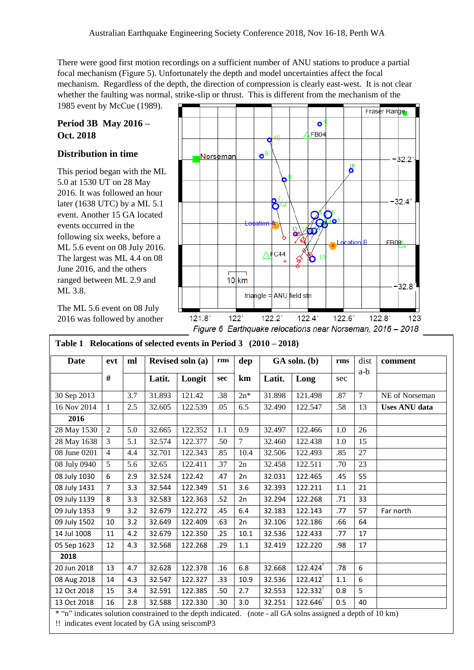There were good first motion recordings on a sufficient number of ANU stations to produce a partial focal mechanism (Figure 5). Unfortunately the depth and model uncertainties affect the focal mechanism. Regardless of the depth, the direction of compression is clearly east-west. It is not clear whether the faulting was normal, strike-slip or thrust. This is different from the mechanism of the

1985 event by McCue (1989).

### **Period 3B May 2016 – Oct. 2018**

#### **Distribution in time**

This period began with the ML 5.0 at 1530 UT on 28 May 2016. It was followed an hour later (1638 UTC) by a ML 5.1 event. Another 15 GA located events occurred in the following six weeks, before a ML 5.6 event on 08 July 2016. The largest was ML 4.4 on 08 June 2016, and the others ranged between ML 2.9 and ML 3.8.

The ML 5.6 event on 08 July 2016 was followed by another



| <b>Date</b>  | evt            | ml  |        | Revised soln (a) | rms | dep            |        | GA soln. (b) | rms | dist           | comment              |
|--------------|----------------|-----|--------|------------------|-----|----------------|--------|--------------|-----|----------------|----------------------|
|              | #              |     | Latit. | Longit           | sec | km             | Latit. | Long         | sec | a-b            |                      |
| 30 Sep 2013  |                | 3.7 | 31.893 | 121.42           | .38 | $2n^*$         | 31.898 | 121.498      | .87 | $\overline{7}$ | NE of Norseman       |
| 16 Nov 2014  | $\mathbf{1}$   | 2.5 | 32.605 | 122.539          | .05 | 6.5            | 32.490 | 122.547      | .58 | 13             | <b>Uses ANU</b> data |
| 2016         |                |     |        |                  |     |                |        |              |     |                |                      |
| 28 May 1530  | 2              | 5.0 | 32.665 | 122.352          | 1.1 | 0.9            | 32.497 | 122.466      | 1.0 | 26             |                      |
| 28 May 1638  | 3              | 5.1 | 32.574 | 122.377          | .50 | $\overline{7}$ | 32.460 | 122.438      | 1.0 | 15             |                      |
| 08 June 0201 | $\overline{4}$ | 4.4 | 32.701 | 122.343          | .85 | 10.4           | 32.506 | 122.493      | .85 | 27             |                      |
| 08 July 0940 | 5              | 5.6 | 32.65  | 122.411          | .37 | 2n             | 32.458 | 122.511      | .70 | 23             |                      |
| 08 July 1030 | 6              | 2.9 | 32.524 | 122.42           | .47 | 2n             | 32.031 | 122.465      | .45 | 55             |                      |
| 08 July 1431 | $\overline{7}$ | 3.3 | 32.544 | 122.349          | .51 | 3.6            | 32.393 | 122.211      | 1.1 | 21             |                      |
| 09 July 1139 | 8              | 3.3 | 32.583 | 122.363          | .52 | 2n             | 32.294 | 122.268      | .71 | 33             |                      |
| 09 July 1353 | 9              | 3.2 | 32.679 | 122.272          | .45 | 6.4            | 32.183 | 122.143      | .77 | 57             | Far north            |
| 09 July 1502 | 10             | 3.2 | 32.649 | 122.409          | .63 | 2n             | 32.106 | 122.186      | .66 | 64             |                      |
| 14 Jul 1008  | 11             | 4.2 | 32.679 | 122.350          | .25 | 10.1           | 32.536 | 122.433      | .77 | 17             |                      |
| 05 Sep 1623  | 12             | 4.3 | 32.568 | 122.268          | .29 | 1.1            | 32.419 | 122.220      | .98 | 17             |                      |
| 2018         |                |     |        |                  |     |                |        |              |     |                |                      |
| 20 Jun 2018  | 13             | 4.7 | 32.628 | 122.378          | .16 | 6.8            | 32.668 | 122.424      | .78 | 6              |                      |
| 08 Aug 2018  | 14             | 4.3 | 32.547 | 122.327          | .33 | 10.9           | 32.536 | 122.412      | 1.1 | 6              |                      |
| 12 Oct 2018  | 15             | 3.4 | 32.591 | 122.385          | .50 | 2.7            | 32.553 | 122.332      | 0.8 | 5              |                      |
| 13 Oct 2018  | 16             | 2.8 | 32.588 | 122.330          | .30 | 3.0            | 32.251 | 122.646      | 0.5 | 40             |                      |

|  |  | Table 1 Relocations of selected events in Period 3 $(2010 - 2018)$ |
|--|--|--------------------------------------------------------------------|
|  |  |                                                                    |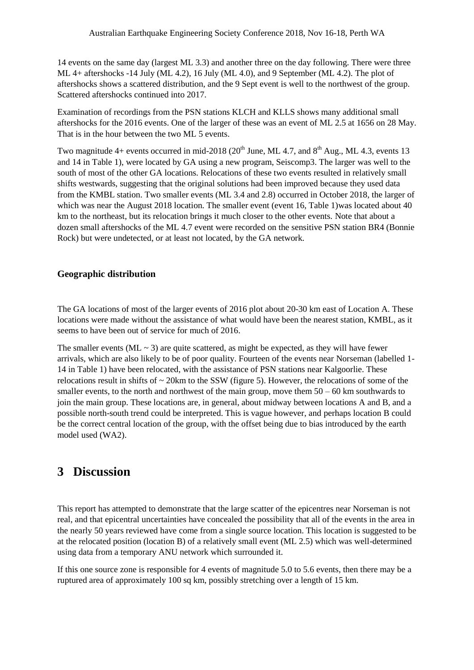14 events on the same day (largest ML 3.3) and another three on the day following. There were three ML 4+ aftershocks -14 July (ML 4.2), 16 July (ML 4.0), and 9 September (ML 4.2). The plot of aftershocks shows a scattered distribution, and the 9 Sept event is well to the northwest of the group. Scattered aftershocks continued into 2017.

Examination of recordings from the PSN stations KLCH and KLLS shows many additional small aftershocks for the 2016 events. One of the larger of these was an event of ML 2.5 at 1656 on 28 May. That is in the hour between the two ML 5 events.

Two magnitude  $4+$  events occurred in mid-2018 (20<sup>th</sup> June, ML 4.7, and  $8<sup>th</sup>$  Aug., ML 4.3, events 13 and 14 in Table 1), were located by GA using a new program, Seiscomp3. The larger was well to the south of most of the other GA locations. Relocations of these two events resulted in relatively small shifts westwards, suggesting that the original solutions had been improved because they used data from the KMBL station. Two smaller events (ML 3.4 and 2.8) occurred in October 2018, the larger of which was near the August 2018 location. The smaller event (event 16, Table 1) was located about 40 km to the northeast, but its relocation brings it much closer to the other events. Note that about a dozen small aftershocks of the ML 4.7 event were recorded on the sensitive PSN station BR4 (Bonnie Rock) but were undetected, or at least not located, by the GA network.

#### **Geographic distribution**

The GA locations of most of the larger events of 2016 plot about 20-30 km east of Location A. These locations were made without the assistance of what would have been the nearest station, KMBL, as it seems to have been out of service for much of 2016.

The smaller events (ML  $\sim$  3) are quite scattered, as might be expected, as they will have fewer arrivals, which are also likely to be of poor quality. Fourteen of the events near Norseman (labelled 1- 14 in Table 1) have been relocated, with the assistance of PSN stations near Kalgoorlie. These relocations result in shifts of  $\sim$  20km to the SSW (figure 5). However, the relocations of some of the smaller events, to the north and northwest of the main group, move them  $50 - 60$  km southwards to join the main group. These locations are, in general, about midway between locations A and B, and a possible north-south trend could be interpreted. This is vague however, and perhaps location B could be the correct central location of the group, with the offset being due to bias introduced by the earth model used (WA2).

## **3 Discussion**

This report has attempted to demonstrate that the large scatter of the epicentres near Norseman is not real, and that epicentral uncertainties have concealed the possibility that all of the events in the area in the nearly 50 years reviewed have come from a single source location. This location is suggested to be at the relocated position (location B) of a relatively small event (ML 2.5) which was well-determined using data from a temporary ANU network which surrounded it.

If this one source zone is responsible for 4 events of magnitude 5.0 to 5.6 events, then there may be a ruptured area of approximately 100 sq km, possibly stretching over a length of 15 km.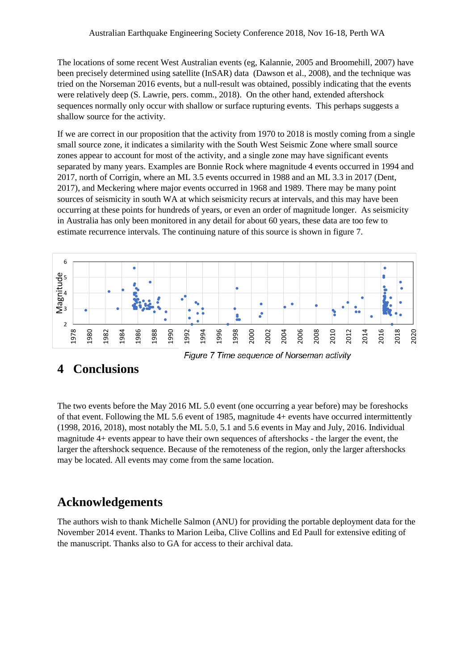The locations of some recent West Australian events (eg, Kalannie, 2005 and Broomehill, 2007) have been precisely determined using satellite (InSAR) data (Dawson et al., 2008), and the technique was tried on the Norseman 2016 events, but a null-result was obtained, possibly indicating that the events were relatively deep (S. Lawrie, pers. comm., 2018). On the other hand, extended aftershock sequences normally only occur with shallow or surface rupturing events. This perhaps suggests a shallow source for the activity.

If we are correct in our proposition that the activity from 1970 to 2018 is mostly coming from a single small source zone, it indicates a similarity with the South West Seismic Zone where small source zones appear to account for most of the activity, and a single zone may have significant events separated by many years. Examples are Bonnie Rock where magnitude 4 events occurred in 1994 and 2017, north of Corrigin, where an ML 3.5 events occurred in 1988 and an ML 3.3 in 2017 (Dent, 2017), and Meckering where major events occurred in 1968 and 1989. There may be many point sources of seismicity in south WA at which seismicity recurs at intervals, and this may have been occurring at these points for hundreds of years, or even an order of magnitude longer. As seismicity in Australia has only been monitored in any detail for about 60 years, these data are too few to estimate recurrence intervals. The continuing nature of this source is shown in figure 7.



#### Figure 7 Time sequence of Norseman activity

## **4 Conclusions**

The two events before the May 2016 ML 5.0 event (one occurring a year before) may be foreshocks of that event. Following the ML 5.6 event of 1985, magnitude 4+ events have occurred intermittently (1998, 2016, 2018), most notably the ML 5.0, 5.1 and 5.6 events in May and July, 2016. Individual magnitude 4+ events appear to have their own sequences of aftershocks - the larger the event, the larger the aftershock sequence. Because of the remoteness of the region, only the larger aftershocks may be located. All events may come from the same location.

## **Acknowledgements**

The authors wish to thank Michelle Salmon (ANU) for providing the portable deployment data for the November 2014 event. Thanks to Marion Leiba, Clive Collins and Ed Paull for extensive editing of the manuscript. Thanks also to GA for access to their archival data.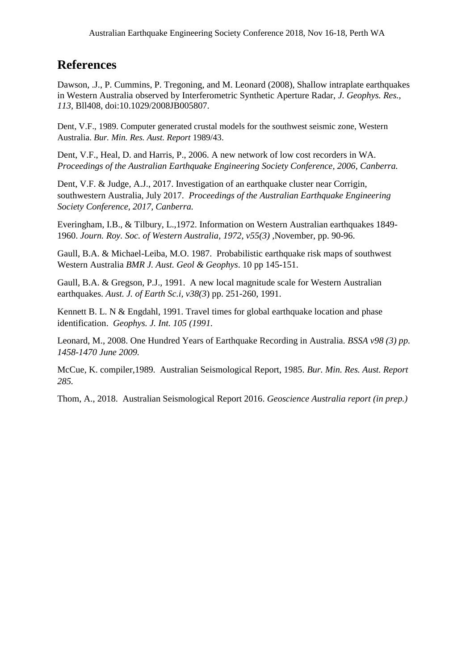## **References**

Dawson, J., P. Cummins, P. Tregoning, and M. Leonard (2008), Shallow intraplate earthquakes in Western Australia observed by Interferometric Synthetic Aperture Radar, *J. Geophys. Res., 113,* Bll408, doi:10.1029/2008JB005807.

Dent, V.F., 1989. Computer generated crustal models for the southwest seismic zone, Western Australia. *Bur. Min. Res. Aust. Report* 1989/43.

Dent, V.F., Heal, D. and Harris, P., 2006. A new network of low cost recorders in WA. *Proceedings of the Australian Earthquake Engineering Society Conference, 2006, Canberra.*

Dent, V.F. & Judge, A.J., 2017. Investigation of an earthquake cluster near Corrigin, southwestern Australia, July 2017. *Proceedings of the Australian Earthquake Engineering Society Conference, 2017, Canberra.*

Everingham, I.B., & Tilbury, L.,1972. Information on Western Australian earthquakes 1849- 1960. *Journ. Roy. Soc. of Western Australia, 1972, v55(3)* ,November, pp. 90-96.

Gaull, B.A. & Michael-Leiba, M.O. 1987. Probabilistic earthquake risk maps of southwest Western Australia *BMR J. Aust. Geol & Geophys*. 10 pp 145-151.

Gaull, B.A. & Gregson, P.J., 1991. A new local magnitude scale for Western Australian earthquakes. *Aust. J. of Earth Sc.i, v38(3*) pp. 251-260, 1991.

Kennett B. L. N & Engdahl, 1991. Travel times for global earthquake location and phase identification. *Geophys. J. Int. 105 (1991.*

Leonard, M., 2008. One Hundred Years of Earthquake Recording in Australia*. BSSA v98 (3) pp. 1458-1470 June 2009.*

McCue, K. compiler,1989. Australian Seismological Report, 1985*. Bur. Min. Res. Aust. Report 285.*

Thom, A., 2018. Australian Seismological Report 2016. *Geoscience Australia report (in prep.)*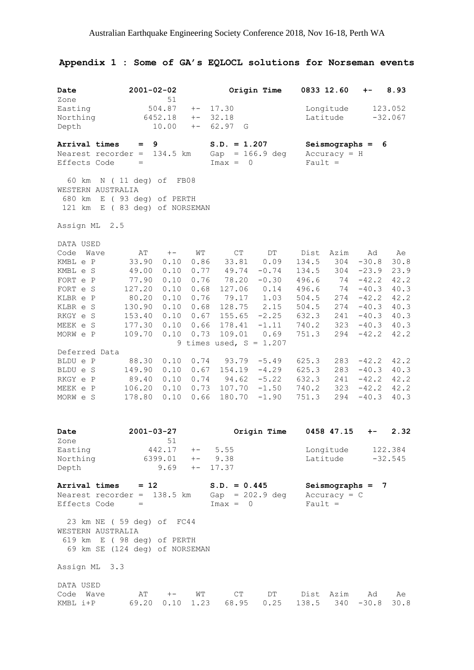# **Appendix 1 : Some of GA's EQLOCL solutions for Norseman events**

| Date<br>Zone                                                                                                                                                                                               | $2001 - 02 - 02$                                                                                                                                 | 51                                                                                                                   |                                                                                                                    |                                                                                                                                                                                           | Origin Time                                                                                                                                   | 0833 12.60                                                                                                                         |                                                                                                      | $+ -$                                                                                                                                                        | 8.93                                                                                                               |
|------------------------------------------------------------------------------------------------------------------------------------------------------------------------------------------------------------|--------------------------------------------------------------------------------------------------------------------------------------------------|----------------------------------------------------------------------------------------------------------------------|--------------------------------------------------------------------------------------------------------------------|-------------------------------------------------------------------------------------------------------------------------------------------------------------------------------------------|-----------------------------------------------------------------------------------------------------------------------------------------------|------------------------------------------------------------------------------------------------------------------------------------|------------------------------------------------------------------------------------------------------|--------------------------------------------------------------------------------------------------------------------------------------------------------------|--------------------------------------------------------------------------------------------------------------------|
| Easting<br>Northing<br>Depth                                                                                                                                                                               | 504.87<br>$+-$<br>6452.18<br>$+-$<br>10.00<br>$+-$                                                                                               |                                                                                                                      |                                                                                                                    | 17.30<br>32.18<br>62.97<br>G                                                                                                                                                              | Latitude                                                                                                                                      | Longitude                                                                                                                          | 123.052<br>$-32.067$                                                                                 |                                                                                                                                                              |                                                                                                                    |
| Arrival times<br>Effects Code                                                                                                                                                                              | $=$<br>Nearest recorder $=$<br>$=$                                                                                                               | 9<br>134.5 km                                                                                                        |                                                                                                                    | $S.D. = 1.207$<br>Gap<br>$Imax =$<br>0                                                                                                                                                    | $= 166.9 deg$                                                                                                                                 | $Fault =$                                                                                                                          | Seismographs =<br>$Accuracy = H$                                                                     | 6                                                                                                                                                            |                                                                                                                    |
| 60 km<br>680 km<br>121 km                                                                                                                                                                                  | $N$ (11 deg) of<br>WESTERN AUSTRALIA<br>E (93 deg) of PERTH<br>E ( 83 deg) of NORSEMAN                                                           | FB08                                                                                                                 |                                                                                                                    |                                                                                                                                                                                           |                                                                                                                                               |                                                                                                                                    |                                                                                                      |                                                                                                                                                              |                                                                                                                    |
| Assign ML                                                                                                                                                                                                  | 2.5                                                                                                                                              |                                                                                                                      |                                                                                                                    |                                                                                                                                                                                           |                                                                                                                                               |                                                                                                                                    |                                                                                                      |                                                                                                                                                              |                                                                                                                    |
| DATA USED<br>Code<br>KMBL e P<br>KMBL e S<br>FORT e P<br>FORT e S<br>KLBR e P<br>KLBR e S<br>RKGY e S<br>MEEK e S<br>MORW e P<br>Deferred Data<br>BLDU e P<br>BLDU e S<br>RKGY e P<br>MEEK e P<br>MORW e S | Wave<br>AΤ<br>33.90<br>49.00<br>77.90<br>127.20<br>80.20<br>130.90<br>153.40<br>177.30<br>109.70<br>88.30<br>149.90<br>89.40<br>106.20<br>178.80 | $+-$<br>0.10<br>0.10<br>0.10<br>0.10<br>0.10<br>0.10<br>0.10<br>0.10<br>0.10<br>0.10<br>0.10<br>0.10<br>0.10<br>0.10 | WΤ<br>0.86<br>0.77<br>0.76<br>0.68<br>0.76<br>0.68<br>0.67<br>0.66<br>0.73<br>0.74<br>0.67<br>0.74<br>0.73<br>0.66 | $\mathbb{C}\mathbb{T}$<br>33.81<br>49.74<br>78.20<br>127.06<br>79.17<br>128.75<br>155.65<br>178.41<br>109.01<br>9 times used, $S = 1.207$<br>93.79<br>154.19<br>94.62<br>107.70<br>180.70 | DT<br>0.09<br>$-0.74$<br>$-0.30$<br>0.14<br>1.03<br>2.15<br>$-2.25$<br>$-1.11$<br>0.69<br>$-5.49$<br>$-4.29$<br>$-5.22$<br>$-1.50$<br>$-1.90$ | Dist<br>134.5<br>134.5<br>496.6<br>496.6<br>504.5<br>504.5<br>632.3<br>740.2<br>751.3<br>625.3<br>625.3<br>632.3<br>740.2<br>751.3 | Azim<br>304<br>304<br>74<br>74<br>274<br>274<br>241<br>323<br>294<br>283<br>283<br>241<br>323<br>294 | Ad<br>$-30.8$<br>$-23.9$<br>$-42.2$<br>$-40.3$<br>$-42.2$<br>$-40.3$<br>$-40.3$<br>$-40.3$<br>$-42.2$<br>$-42.2$<br>$-40.3$<br>$-42.2$<br>$-42.2$<br>$-40.3$ | Ae<br>30.8<br>23.9<br>42.2<br>40.3<br>42.2<br>40.3<br>40.3<br>40.3<br>42.2<br>42.2<br>40.3<br>42.2<br>42.2<br>40.3 |
| Date<br>Zone                                                                                                                                                                                               | $2001 - 03 - 27$                                                                                                                                 |                                                                                                                      |                                                                                                                    |                                                                                                                                                                                           | Origin Time                                                                                                                                   |                                                                                                                                    | 0458 47.15                                                                                           | $+ -$                                                                                                                                                        | 2.32                                                                                                               |
| Easting<br>Northing<br>Depth                                                                                                                                                                               |                                                                                                                                                  | 51<br>442.17<br>$6399.01 + - 9.38$<br>$9.69 + -$                                                                     |                                                                                                                    | $+-$ 5.55<br>17.37                                                                                                                                                                        |                                                                                                                                               |                                                                                                                                    | Longitude<br>Latitude                                                                                |                                                                                                                                                              | 122.384<br>$-32.545$                                                                                               |
| Effects Code                                                                                                                                                                                               | Arrival times $= 12$<br>Nearest recorder = 138.5 km<br>$\hspace{1.6cm} = \hspace{1.6cm}$                                                         |                                                                                                                      |                                                                                                                    | $S.D. = 0.445$<br>Gap = $202.9$ deg<br>$Imax = 0$                                                                                                                                         |                                                                                                                                               | $Fault =$                                                                                                                          | $Accuracy = C$                                                                                       | Seismographs $= 7$                                                                                                                                           |                                                                                                                    |
|                                                                                                                                                                                                            | 23 km NE ( 59 deg) of FC44<br>WESTERN AUSTRALIA<br>619 km E (98 deg) of PERTH<br>69 km SE (124 deg) of NORSEMAN                                  |                                                                                                                      |                                                                                                                    |                                                                                                                                                                                           |                                                                                                                                               |                                                                                                                                    |                                                                                                      |                                                                                                                                                              |                                                                                                                    |
| Assign ML 3.3                                                                                                                                                                                              |                                                                                                                                                  |                                                                                                                      |                                                                                                                    |                                                                                                                                                                                           |                                                                                                                                               |                                                                                                                                    |                                                                                                      |                                                                                                                                                              |                                                                                                                    |
| DATA USED<br>Code Wave                                                                                                                                                                                     | KMBL $i+P$ 69.20                                                                                                                                 | $AT + - WT$                                                                                                          |                                                                                                                    | CT<br>$0.10$ 1.23 68.95                                                                                                                                                                   | DT <sub>a</sub><br>0.25                                                                                                                       | 138.5                                                                                                                              | Dist Azim                                                                                            | Ad<br>$340 - 30.8$                                                                                                                                           | Ae<br>30.8                                                                                                         |